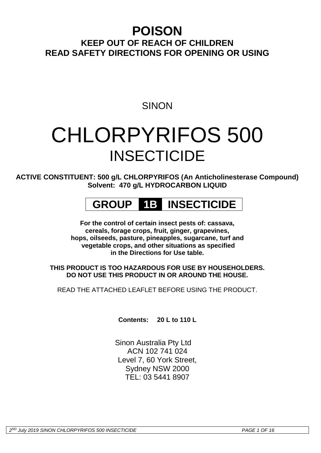## **POISON**

### **KEEP OUT OF REACH OF CHILDREN READ SAFETY DIRECTIONS FOR OPENING OR USING**

### **SINON**

# CHLORPYRIFOS 500 **INSECTICIDE**

**ACTIVE CONSTITUENT: 500 g/L CHLORPYRIFOS (An Anticholinesterase Compound) Solvent: 470 g/L HYDROCARBON LIQUID**

## **GROUP 1B INSECTICIDE**

**For the control of certain insect pests of: cassava, cereals, forage crops, fruit, ginger, grapevines, hops, oilseeds, pasture, pineapples, sugarcane, turf and vegetable crops, and other situations as specified in the Directions for Use table.**

**THIS PRODUCT IS TOO HAZARDOUS FOR USE BY HOUSEHOLDERS. DO NOT USE THIS PRODUCT IN OR AROUND THE HOUSE.**

READ THE ATTACHED LEAFLET BEFORE USING THE PRODUCT.

**Contents: 20 L to 110 L**

Sinon Australia Pty Ltd ACN 102 741 024 Level 7, 60 York Street, Sydney NSW 2000 TEL: 03 5441 8907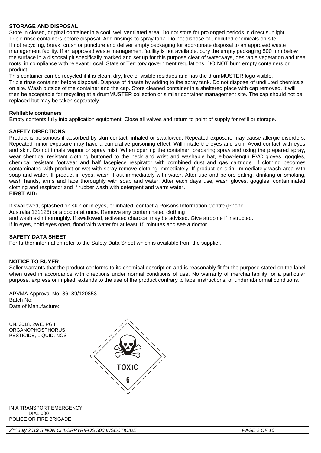#### **STORAGE AND DISPOSAL**

Store in closed, original container in a cool, well ventilated area. Do not store for prolonged periods in direct sunlight. Triple rinse containers before disposal. Add rinsings to spray tank. Do not dispose of undiluted chemicals on site. If not recycling, break, crush or puncture and deliver empty packaging for appropriate disposal to an approved waste management facility. If an approved waste management facility is not available, bury the empty packaging 500 mm below the surface in a disposal pit specifically marked and set up for this purpose clear of waterways, desirable vegetation and tree roots, in compliance with relevant Local, State or Territory government regulations. DO NOT burn empty containers or product.

This container can be recycled if it is clean, dry, free of visible residues and has the drumMUSTER logo visible. Triple rinse container before disposal. Dispose of rinsate by adding to the spray tank. Do not dispose of undiluted chemicals on site. Wash outside of the container and the cap. Store cleaned container in a sheltered place with cap removed. It will then be acceptable for recycling at a drumMUSTER collection or similar container management site. The cap should not be replaced but may be taken separately.

#### **Refillable containers**

Empty contents fully into application equipment. Close all valves and return to point of supply for refill or storage.

#### **SAFETY DIRECTIONS:**

Product is poisonous if absorbed by skin contact, inhaled or swallowed. Repeated exposure may cause allergic disorders. Repeated minor exposure may have a cumulative poisoning effect. Will irritate the eyes and skin. Avoid contact with eyes and skin. Do not inhale vapour or spray mist. When opening the container, preparing spray and using the prepared spray, wear chemical resistant clothing buttoned to the neck and wrist and washable hat, elbow-length PVC gloves, goggles, chemical resistant footwear and half facepiece respirator with combined dust and gas cartridge. If clothing becomes contaminated with product or wet with spray remove clothing immediately. If product on skin, immediately wash area with soap and water. If product in eyes, wash it out immediately with water. After use and before eating, drinking or smoking, wash hands, arms and face thoroughly with soap and water. After each days use, wash gloves, goggles, contaminated clothing and respirator and if rubber wash with detergent and warm water**. FIRST AID:**

If swallowed, splashed on skin or in eyes, or inhaled, contact a Poisons Information Centre (Phone Australia 131126) or a doctor at once. Remove any contaminated clothing and wash skin thoroughly. If swallowed, activated charcoal may be advised. Give atropine if instructed. If in eyes, hold eyes open, flood with water for at least 15 minutes and see a doctor.

#### **SAFETY DATA SHEET**

For further information refer to the Safety Data Sheet which is available from the supplier.

#### **NOTICE TO BUYER**

Seller warrants that the product conforms to its chemical description and is reasonably fit for the purpose stated on the label when used in accordance with directions under normal conditions of use. No warranty of merchantability for a particular purpose, express or implied, extends to the use of the product contrary to label instructions, or under abnormal conditions.

APVMA Approval No: 86189/120853 Batch No: Date of Manufacture:

UN. 3018, 2WE, PGIII **ORGANOPHOSPHORUS** PESTICIDE, LIQUID, NOS



#### IN A TRANSPORT EMERGENCY DIAL 000 POLICE OR FIRE BRIGADE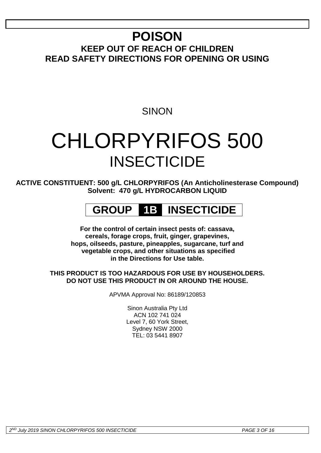# **POISON**

**KEEP OUT OF REACH OF CHILDREN READ SAFETY DIRECTIONS FOR OPENING OR USING**

### **SINON**

# CHLORPYRIFOS 500 **INSECTICIDE**

**ACTIVE CONSTITUENT: 500 g/L CHLORPYRIFOS (An Anticholinesterase Compound) Solvent: 470 g/L HYDROCARBON LIQUID**

## **GROUP 1B INSECTICIDE**

**For the control of certain insect pests of: cassava, cereals, forage crops, fruit, ginger, grapevines, hops, oilseeds, pasture, pineapples, sugarcane, turf and vegetable crops, and other situations as specified in the Directions for Use table.**

#### **THIS PRODUCT IS TOO HAZARDOUS FOR USE BY HOUSEHOLDERS. DO NOT USE THIS PRODUCT IN OR AROUND THE HOUSE.**

APVMA Approval No: 86189/120853

Sinon Australia Pty Ltd ACN 102 741 024 Level 7, 60 York Street, Sydney NSW 2000 TEL: 03 5441 8907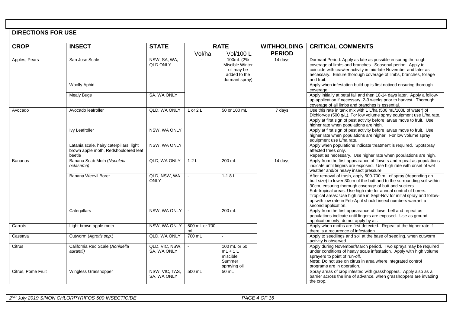#### **DIRECTIONS FOR USE**

| <b>CROP</b>        | <b>INSECT</b>                                                                              | <b>STATE</b>                    |                     | <b>RATE</b>                                                                  | <b>WITHHOLDING</b>  | <b>CRITICAL COMMENTS</b>                                                                                                                                                                                                                                                                                                                                                                                                                  |
|--------------------|--------------------------------------------------------------------------------------------|---------------------------------|---------------------|------------------------------------------------------------------------------|---------------------|-------------------------------------------------------------------------------------------------------------------------------------------------------------------------------------------------------------------------------------------------------------------------------------------------------------------------------------------------------------------------------------------------------------------------------------------|
|                    |                                                                                            |                                 | Vol/ha              | Vol/100 L                                                                    | <b>PERIOD</b>       |                                                                                                                                                                                                                                                                                                                                                                                                                                           |
| Apples, Pears      | San Jose Scale                                                                             | NSW, SA, WA,<br><b>QLD ONLY</b> |                     | 100mL (2%<br>Miscible Winter<br>oil may be<br>added to the<br>dormant spray) | 14 days             | Dormant Period: Apply as late as possible ensuring thorough<br>coverage of limbs and branches. Seasonal period. Apply to<br>coincide with crawler activity in mid-late November and later as<br>necessary. Ensure thorough coverage of limbs, branches, foliage<br>and fruit.                                                                                                                                                             |
|                    | <b>Woolly Aphid</b>                                                                        |                                 |                     |                                                                              |                     | Apply when infestation build-up is first noticed ensuring thorough<br>coverage.                                                                                                                                                                                                                                                                                                                                                           |
|                    | <b>Mealy Bugs</b>                                                                          | SA, WA ONLY                     |                     |                                                                              |                     | Apply initially at petal fall and then 10-14 days later. Apply a follow-<br>up application if necessary, 2-3 weeks prior to harvest. Thorough<br>coverage of all limbs and branches is essential.                                                                                                                                                                                                                                         |
| Avocado            | Avocado leafroller                                                                         | QLD, WA ONLY                    | 1 or 2 L            | 50 or 100 mL                                                                 | $\overline{7}$ days | Use this rate in tank mix with 1 L/ha (500 mL/100L of water) of<br>Dichlorvos (500 g/L). For low volume spray equipment use L/ha rate.<br>Apply at first sign of pest activity before larvae move to fruit. Use<br>higher rate when populations are high.                                                                                                                                                                                 |
|                    | Ivy Leafroller                                                                             | NSW, WA ONLY                    |                     |                                                                              |                     | Apply at first sign of pest activity before larvae move to fruit. Use<br>higher rate when populations are higher. For low volume spray<br>equipment use L/ha rate.                                                                                                                                                                                                                                                                        |
|                    | Latania scale, hairy caterpillars, light<br>brown apple moth, Redshouldered leaf<br>beetle | NSW, WA ONLY                    |                     |                                                                              |                     | Apply when populations indicate treatment is required. Spotspray<br>affected trees only.<br>Repeat as necessary. Use higher rate when populations are high.                                                                                                                                                                                                                                                                               |
| <b>Bananas</b>     | Banana Scab Moth (Nacoleia<br>octasema)                                                    | QLD, WA ONLY                    | $1-2L$              | 200 mL                                                                       | 14 days             | Apply from the first appearance of flowers and repeat as populations<br>indicate until fingers are exposed. Use high rate with onset of wet<br>weather and/or heavy insect pressure.                                                                                                                                                                                                                                                      |
|                    | Banana Weevil Borer                                                                        | QLD, NSW, WA<br><b>ONLY</b>     |                     | $1 - 1.8$ L                                                                  |                     | After removal of trash, apply 500-700 mL of spray (depending on<br>butt size) to lower 30cm of the butt and to the surrounding soil within<br>30cm, ensuring thorough coverage of butt and suckers.<br>Sub-tropical areas: Use high rate for annual control of borers.<br>Tropical areas: Use high rate in Sept-Nov for initial spray and follow-<br>up with low rate in Feb-April should insect numbers warrant a<br>second application. |
|                    | Caterpillars                                                                               | NSW, WA ONLY                    |                     | 200 mL                                                                       |                     | Apply from the first appearance of flower bell and repeat as<br>populations indicate until fingers are exposed. Use as ground<br>application only, do not apply by air.                                                                                                                                                                                                                                                                   |
| Carrots            | Light brown apple moth                                                                     | NSW, WA ONLY                    | 500 mL or 700<br>mL | $\sim$                                                                       |                     | Apply when moths are first detected. Repeat at the higher rate if<br>there is a recurrence of infestation.                                                                                                                                                                                                                                                                                                                                |
| Cassava            | Cutworm (Agrotis spp.)                                                                     | QLD, WA ONLY                    | 700 mL              |                                                                              |                     | Apply to seedlings and soil at the base of seedling, when cutworm<br>activity is observed.                                                                                                                                                                                                                                                                                                                                                |
| Citrus             | California Red Scale (Aonidella<br>aurantii)                                               | QLD, VIC, NSW,<br>SA, WA ONLY   |                     | 100 mL or 50<br>$mL + 1L$<br>miscible<br>Summer<br>spraying oil              |                     | Apply during November/March period. Two sprays may be required<br>under conditions of heavy scale infestation. Apply with high volume<br>sprayers to point of run-off.<br>Note: Do not use on citrus in area where integrated control<br>programs are in operation.                                                                                                                                                                       |
| Citrus, Pome Fruit | Wingless Grasshopper                                                                       | NSW, VIC, TAS,<br>SA. WA ONLY   | 500 mL              | 50 mL                                                                        |                     | Spray areas of crop infested with grasshoppers. Apply also as a<br>barrier across the line of advance, when grasshoppers are invading<br>the crop.                                                                                                                                                                                                                                                                                        |

*2 ND July 2019 SINON CHLORPYRIFOS 500 INSECTICIDE PAGE 4 OF 16*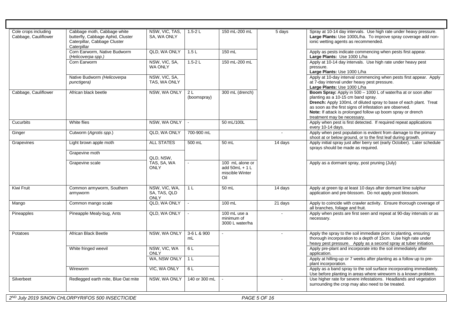| Cole crops including<br>Cabbage, Cauliflower | Cabbage moth, Cabbage white<br>butterfly, Cabbage Aphid, Cluster<br>Caterpillar, Cabbage Cluster<br>Caterpillar | NSW, VIC, TAS,<br>SA, WA ONLY                | $1.5 - 2L$                    | 150 mL-200 mL                                                | 5 days  | Spray at 10-14 day intervals. Use high rate under heavy pressure.<br>Large Plants: Use 1000L/ha. To improve spray coverage add non-<br>ionic wetting agents as recommended.                                                                                                                                                        |
|----------------------------------------------|-----------------------------------------------------------------------------------------------------------------|----------------------------------------------|-------------------------------|--------------------------------------------------------------|---------|------------------------------------------------------------------------------------------------------------------------------------------------------------------------------------------------------------------------------------------------------------------------------------------------------------------------------------|
|                                              | Corn Earworm, Native Budworm<br>(Helicoverpa spp.)                                                              | QLD, WA ONLY                                 | 1.5L                          | 150 mL                                                       |         | Apply as pests indicate commencing when pests first appear.<br>Large Plants: Use 1000 L/ha                                                                                                                                                                                                                                         |
|                                              | Corn Earworm                                                                                                    | NSW, VIC, SA,<br><b>WA ONLY</b>              | $1.5 - 2L$                    | 150 mL-200 mL                                                |         | Apply at 10-14 day intervals. Use high rate under heavy pest<br>pressure.<br>Large Plants: Use 1000 L/ha                                                                                                                                                                                                                           |
|                                              | Native Budworm (Helicoverpa<br>punctigera)                                                                      | NSW, VIC, SA,<br>TAS, WA ONLY                |                               |                                                              |         | Apply at 10-day interval commencing when pests first appear. Apply<br>at 7-day interval under heavy pest pressure.<br>Large Plants: Use 1000 L/ha                                                                                                                                                                                  |
| Cabbage, Cauliflower                         | African black beetle                                                                                            | NSW, WA ONLY                                 | 2 <sub>L</sub><br>(boomspray) | 300 mL (drench)                                              |         | Boom Spray: Apply in 500 - 1000 L of water/ha at or soon after<br>planting as a 10-15 cm band spray.<br>Drench: Apply 100mL of diluted spray to base of each plant. Treat<br>as soon as the first signs of infestation are observed.<br>Note: If attack is prolonged follow up boom spray or drench<br>treatment may be necessary. |
| Cucurbits                                    | White flies                                                                                                     | NSW, WA ONLY                                 |                               | 50 mL/100L                                                   |         | Apply when pest is first detected. If required repeat applications<br>every 10-14 days.                                                                                                                                                                                                                                            |
| Ginger                                       | Cutworm (Agrotis spp.)                                                                                          | QLD, WA ONLY                                 | 700-900 mL                    |                                                              | $\sim$  | Apply when pest population is evident from damage to the primary<br>shoot at or below ground, or to the first leaf during growth.                                                                                                                                                                                                  |
| Grapevines                                   | Light brown apple moth                                                                                          | <b>ALL STATES</b>                            | 500 mL                        | 50 mL                                                        | 14 days | Apply initial spray just after berry set (early October). Later schedule<br>sprays should be made as required.                                                                                                                                                                                                                     |
|                                              | Grapevine moth                                                                                                  | QLD. NSW.                                    |                               |                                                              |         |                                                                                                                                                                                                                                                                                                                                    |
|                                              | Grapevine scale                                                                                                 | TAS, SA, WA<br><b>ONLY</b>                   |                               | 100 mL alone or<br>add $50mL + 1L$<br>miscible Winter<br>Oil |         | Apply as a dormant spray, post pruning (July)                                                                                                                                                                                                                                                                                      |
| Kiwi Fruit                                   | Common armyworm, Southern<br>armyworm                                                                           | NSW, VIC, WA,<br>SA, TAS, QLD<br><b>ONLY</b> | 1 <sub>L</sub>                | 50 mL                                                        | 14 days | Apply at green tip at least 10 days after dormant lime sulphur<br>application and pre-blossom. Do not apply post blossom.                                                                                                                                                                                                          |
| Mango                                        | Common mango scale                                                                                              | QLD, WA ONLY                                 | $\blacksquare$                | 100 mL                                                       | 21 days | Apply to coincide with crawler activity. Ensure thorough coverage of<br>all branches, foliage and fruit.                                                                                                                                                                                                                           |
| Pineapples                                   | Pineapple Mealy-bug, Ants                                                                                       | QLD, WA ONLY                                 |                               | 100 mL use a<br>minimum of<br>3000 L water/ha                |         | Apply when pests are first seen and repeat at 90-day intervals or as<br>necessary.                                                                                                                                                                                                                                                 |
| Potatoes                                     | African Black Beetle                                                                                            | NSW, WA ONLY                                 | 3-6 L & 900<br>mL             |                                                              |         | Apply the spray to the soil immediate prior to planting, ensuring<br>thorough incorporation to a depth of 15cm. Use high rate under<br>heavy pest pressure. Apply as a second spray at tuber initiation.                                                                                                                           |
|                                              | White fringed weevil                                                                                            | NSW, VIC, WA<br><b>ONLY</b>                  | 6 L                           |                                                              |         | Apply pre-plant and incorporate into the soil immediately after<br>application.                                                                                                                                                                                                                                                    |
|                                              |                                                                                                                 | WA, NSW ONLY                                 | 1 <sup>L</sup>                |                                                              |         | Apply at hilling-up or 7 weeks after planting as a follow up to pre-<br>plant incorporation.                                                                                                                                                                                                                                       |
|                                              | Wireworm                                                                                                        | VIC, WA ONLY                                 | 6 L                           |                                                              |         | Apply as a band spray to the soil surface incorporating immediately.<br>Use before planting in areas where wireworm is a known problem.                                                                                                                                                                                            |
| Silverbeet                                   | Redlegged earth mite, Blue Oat mite                                                                             | NSW, WA ONLY                                 | 140 or 300 mL                 |                                                              | $\sim$  | Use higher rate for severe infestations. Headlands and vegetation<br>surrounding the crop may also need to be treated.                                                                                                                                                                                                             |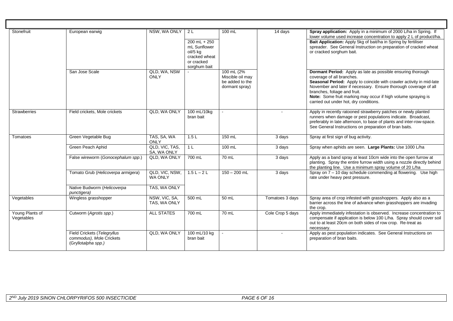| Stonefruit                    | European earwig                                                                | NSW, WA ONLY                     | 2 L<br>$200$ mL + $250$<br>mL Sunflower<br>oil/5 kg<br>cracked wheat<br>or cracked<br>sorghum bait | 100 mL                                                              | 14 days          | Spray application: Apply in a minimum of 2000 L/ha in Spring. If<br>lower volume used increase concentration to apply 2 L of product/ha.<br>Bait Application: Apply 5kg of bait/ha in Spring by fertiliser<br>spreader. See General Instruction on preparation of cracked wheat<br>or cracked sorghum bait.                                                                     |
|-------------------------------|--------------------------------------------------------------------------------|----------------------------------|----------------------------------------------------------------------------------------------------|---------------------------------------------------------------------|------------------|---------------------------------------------------------------------------------------------------------------------------------------------------------------------------------------------------------------------------------------------------------------------------------------------------------------------------------------------------------------------------------|
|                               | San Jose Scale                                                                 | QLD. WA. NSW<br>ONLY             |                                                                                                    | 100 mL (2%<br>Miscible oil may<br>be added to the<br>dormant spray) |                  | Dormant Period: Apply as late as possible ensuring thorough<br>coverage of all branches.<br>Seasonal Period: Apply to coincide with crawler activity in mid-late<br>November and later if necessary. Ensure thorough coverage of all<br>branches, foliage and fruit.<br>Note: Some fruit marking may occur if high volume spraying is<br>carried out under hot, dry conditions. |
| <b>Strawberries</b>           | Field crickets, Mole crickets                                                  | QLD, WA ONLY                     | 100 mL/10kg<br>bran bait                                                                           |                                                                     |                  | Apply in recently ratooned strawberry patches or newly planted<br>runners when damage or pest populations indicate. Broadcast,<br>preferably in late afternoon, to base of plants and inter-row-space.<br>See General Instructions on preparation of bran baits.                                                                                                                |
| Tomatoes                      | Green Vegetable Bug                                                            | TAS, SA, WA<br><b>ONLY</b>       | 1.5L                                                                                               | $150$ mL                                                            | 3 days           | Spray at first sign of bug activity.                                                                                                                                                                                                                                                                                                                                            |
|                               | Green Peach Aphid                                                              | QLD, VIC, TAS,<br>SA, WA ONLY    | 1 <sub>L</sub>                                                                                     | 100 mL                                                              | 3 days           | Spray when aphids are seen. Large Plants: Use 1000 L/ha                                                                                                                                                                                                                                                                                                                         |
|                               | False wireworm (Gonocephalum spp.)                                             | QLD. WA ONLY                     | 700 mL                                                                                             | 70 mL                                                               | 3 days           | Apply as a band spray at least 10cm wide into the open furrow at<br>planting. Spray the entire furrow width using a nozzle directly behind<br>the planting line. Use a minimum spray volume of 20 L/ha                                                                                                                                                                          |
|                               | Tomato Grub (Helicoverpa armigera)                                             | QLD, VIC, NSW,<br><b>WA ONLY</b> | $1.5 L - 2 L$                                                                                      | $150 - 200$ mL                                                      | 3 days           | Spray on 7 - 10 day schedule commending at flowering. Use high<br>rate under heavy pest pressure.                                                                                                                                                                                                                                                                               |
|                               | Native Budworm (Helicoverpa<br>punctigera)                                     | TAS, WA ONLY                     |                                                                                                    |                                                                     |                  |                                                                                                                                                                                                                                                                                                                                                                                 |
| Vegetables                    | Wingless grasshopper                                                           | NSW, VIC, SA,<br>TAS, WA ONLY    | 500 mL                                                                                             | 50 mL                                                               | Tomatoes 3 days  | Spray area of crop infested with grasshoppers. Apply also as a<br>barrier across the line of advance when grasshoppers are invading<br>the crop.                                                                                                                                                                                                                                |
| Young Plants of<br>Vegetables | Cutworm (Agrotis spp.)                                                         | <b>ALL STATES</b>                | 700 mL                                                                                             | 70 mL                                                               | Cole Crop 5 days | Apply immediately infestation is observed. Increase concentration to<br>compensate if application is below 100 L/ha. Spray should cover soil<br>out to at least 20cm on both sides of row crop. Re-treat as<br>necessary.                                                                                                                                                       |
|                               | Field Crickets (Telegryllus<br>commodus). Mole Crickets<br>(Gryllotalpha spp.) | QLD, WA ONLY                     | 100 mL/10 kg<br>bran bait                                                                          |                                                                     | $\sim$           | Apply as pest population indicates. See General Instructions on<br>preparation of bran baits.                                                                                                                                                                                                                                                                                   |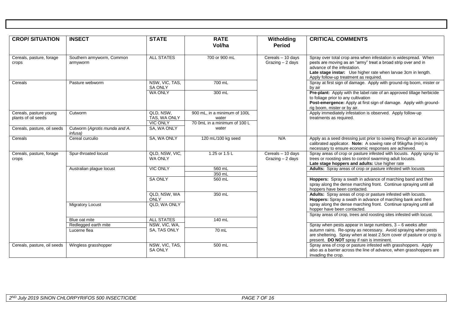| <b>CROP/SITUATION</b>                         | <b>INSECT</b>                            | <b>STATE</b>                                 | <b>RATE</b><br>Vol/ha                                                 | Witholding<br><b>Period</b>            | <b>CRITICAL COMMENTS</b>                                                                                                                                                                                                                                                   |
|-----------------------------------------------|------------------------------------------|----------------------------------------------|-----------------------------------------------------------------------|----------------------------------------|----------------------------------------------------------------------------------------------------------------------------------------------------------------------------------------------------------------------------------------------------------------------------|
| Cereals, pasture, forage<br>crops             | Southern armyworm, Common<br>armyworm    | <b>ALL STATES</b>                            | 700 or 900 mL                                                         | Cereals - 10 days<br>Grazing $-2$ days | Spray over total crop area when infestation is widespread. When<br>pests are moving as an "army" treat a broad strip over and in<br>advance of the infestation.<br>Late stage instar: Use higher rate when larvae 3cm in length.<br>Apply follow-up treatment as required. |
| Cereals                                       | Pasture webworm                          | NSW, VIC, TAS,<br><b>SA ONLY</b>             | 700 mL                                                                |                                        | Spray at first sign of damage. Apply with ground-rig boom, mister or<br>by air                                                                                                                                                                                             |
|                                               |                                          | <b>WA ONLY</b>                               | 300 mL                                                                |                                        | Pre-plant: Apply with the label rate of an approved tillage herbicide<br>to foliage prior to any cultivation<br>Post-emergence: Apply at first sign of damage. Apply with ground-<br>rig boom, mister or by air.                                                           |
| Cereals, pasture young<br>plants of oil seeds | Cutworm                                  | QLD, NSW.<br>TAS, WA ONLY<br><b>VIC ONLY</b> | 900 mL, in a minimum of 100L<br>water<br>70 0mL in a minimum of 100 L |                                        | Apply immediately infestation is observed. Apply follow-up<br>treatments as required.                                                                                                                                                                                      |
| Cereals, pasture, oil seeds                   | Cutworm (Agrotis munda and A.<br>infusa) | SA, WA ONLY                                  | water                                                                 |                                        |                                                                                                                                                                                                                                                                            |
| Cereals                                       | Cereal curculio                          | SA, WA ONLY                                  | 120 mL/100 kg seed                                                    | N/A                                    | Apply as a seed dressing just prior to sowing through an accurately<br>calibrated applicator. Note: A sowing rate of 95kg/ha (min) is<br>necessary to ensure economic responses are achieved.                                                                              |
| Cereals, pasture, forage<br>crops             | Spur-throated locust                     | QLD, NSW, VIC,<br><b>WA ONLY</b>             | 1.25 or 1.5 L                                                         | Cereals - 10 days<br>Grazing $-2$ days | Spray areas of crop or pasture infested with locusts. Apply spray to<br>trees or roosting sites to control swarming adult locusts.<br>Late stage hoppers and adults: Use higher rate                                                                                       |
|                                               | Australian plague locust                 | <b>VIC ONLY</b>                              | 560 mL                                                                |                                        | Adults: Spray areas of crop or pasture infested with locusts                                                                                                                                                                                                               |
|                                               |                                          |                                              | 350 mL                                                                |                                        |                                                                                                                                                                                                                                                                            |
|                                               |                                          | <b>SA ONLY</b>                               | 560 mL                                                                |                                        | Hoppers: Spray a swath in advance of marching band and then<br>spray along the dense marching front. Continue spraying until all<br>hoppers have been contacted.                                                                                                           |
|                                               |                                          | QLD, NSW, WA<br><b>ONLY</b>                  | 350 mL                                                                |                                        | Adults: Spray areas of crop or pasture infested with locusts.<br>Hoppers: Spray a swath in advance of marching bank and then                                                                                                                                               |
|                                               | <b>Migratory Locust</b>                  | QLD, WA ONLY                                 |                                                                       |                                        | spray along the dense marching front. Continue spraying until all<br>hopper have been contacted.<br>Spray areas of crop, trees and roosting sites infested with locust.                                                                                                    |
|                                               | Blue oat mite                            | <b>ALL STATES</b>                            | 140 mL                                                                |                                        |                                                                                                                                                                                                                                                                            |
|                                               | Redlegged earth mite                     | NSW, VIC, WA,                                |                                                                       |                                        | Spray when pests appear in large numbers, $3 - 6$ weeks after                                                                                                                                                                                                              |
|                                               | Lucerne flea                             | SA, TAS ONLY                                 | 70 mL                                                                 |                                        | autumn rains. Re-spray as necessary. Avoid spraying when pests<br>are sheltering. Spray when at least 2.5cm cover of pasture or crop is<br>present. DO NOT spray if rain is imminent.                                                                                      |
| Cereals, pasture, oil seeds                   | Wingless grasshopper                     | NSW. VIC. TAS.<br><b>SA ONLY</b>             | 500 mL                                                                |                                        | Spray area of crop or pasture infested with grasshoppers. Apply<br>also as a barrier across the line of advance, when grasshoppers are<br>invading the crop.                                                                                                               |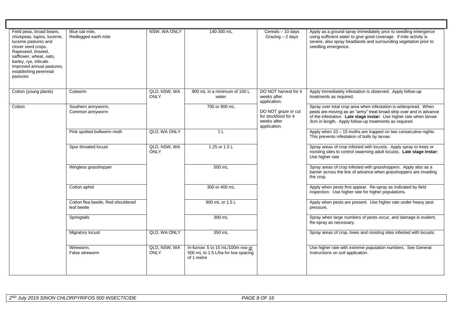| Field peas, broad beans,<br>NSW, WA ONLY<br>140-300 mL<br>Cereals - 10 days<br>Apply as a ground spray immediately prior to seedling emergence<br>Blue oat mite.<br>chickpeas, lupins, lucerne,<br>Redlegged earth mite<br>Grazing $-2$ days<br>using sufficient water to give good coverage. If mite activity is<br>severe, also spray headlands and surrounding vegetation prior to<br>lucerne pastures and<br>clover seed crops.<br>seedling emergence.<br>Rapeseed, linseed,<br>safflower, wheat, oats,<br>barley, rye, triticale.<br>Improved annual pastures,<br>establishing perennial<br>pastures<br>QLD, NSW, WA<br>DO NOT harvest for 4<br>900 mL in a minimum of 100 L<br>Cotton (young plants)<br>Cutworm<br>Apply immediately infestation is observed. Apply follow-up<br><b>ONLY</b><br>weeks after<br>treatments as required.<br>water<br>application.<br>Spray over total crop area when infestation is widespread. When<br>Southern armyworm,<br>700 or 900 mL<br>Cotton<br>DO NOT graze or cut<br>pests are moving as an "army" treat broad strip over and in advance<br>Common armyworm<br>for stockfood for 4<br>of the infestation. Late stage instar: Use higher rate when larvae<br>weeks after<br>3cm in length. Apply follow-up treatments as required.<br>application.<br>Pink spotted bollworm moth<br>QLD, WA ONLY<br>Apply when $10 - 15$ moths are trapped on two consecutive nights.<br>1 <sub>L</sub><br>This prevents infestation of bolls by larvae.<br>QLD, NSW, WA<br>Spray areas of crop infested with locusts. Apply spray to trees or<br>Spur throated locust<br>1.25 or 1.5 L<br>ONLY<br>roosting sites to control swarming adult locusts. Late stage instar:<br>Use higher rate<br>Spray areas of crop infested with grasshoppers. Apply also as a<br>Wingless grasshopper<br>500 mL<br>barrier across the line of advance when grasshoppers are invading<br>the crop.<br>Apply when pests first appear. Re-spray as indicated by field<br>Cotton aphid<br>300 or 400 mL<br>inspection. Use higher rate for higher populations.<br>Cotton flea beetle, Red shouldered<br>900 mL or 1.5 L<br>Apply when pests are present. Use higher rate under heavy pest<br>leaf beetle<br>pressure.<br>Spray when large numbers of pests occur, and damage is evident.<br>Springtails<br>300 mL<br>Re-spray as necessary.<br>QLD, WA ONLY<br><b>Migratory locust</b><br>350 mL<br>Spray areas of crop, trees and roosting sites infested with locusts.<br>QLD, NSW, WA<br>In-furrow: 5 to 15 mL/100m row or<br>Use higher rate with extreme population numbers. See General<br>Wireworm,<br><b>ONLY</b><br>500 mL to 1.5 L/ha for tow spacing<br>Instructions on soil application.<br>False wireworm<br>of 1 metre |  |  |  |  |  |
|------------------------------------------------------------------------------------------------------------------------------------------------------------------------------------------------------------------------------------------------------------------------------------------------------------------------------------------------------------------------------------------------------------------------------------------------------------------------------------------------------------------------------------------------------------------------------------------------------------------------------------------------------------------------------------------------------------------------------------------------------------------------------------------------------------------------------------------------------------------------------------------------------------------------------------------------------------------------------------------------------------------------------------------------------------------------------------------------------------------------------------------------------------------------------------------------------------------------------------------------------------------------------------------------------------------------------------------------------------------------------------------------------------------------------------------------------------------------------------------------------------------------------------------------------------------------------------------------------------------------------------------------------------------------------------------------------------------------------------------------------------------------------------------------------------------------------------------------------------------------------------------------------------------------------------------------------------------------------------------------------------------------------------------------------------------------------------------------------------------------------------------------------------------------------------------------------------------------------------------------------------------------------------------------------------------------------------------------------------------------------------------------------------------------------------------------------------------------------------------------------------------------------------------------------------------------------------------------------------------------------------------------------------------------------------------------------------------------------------------------|--|--|--|--|--|
|                                                                                                                                                                                                                                                                                                                                                                                                                                                                                                                                                                                                                                                                                                                                                                                                                                                                                                                                                                                                                                                                                                                                                                                                                                                                                                                                                                                                                                                                                                                                                                                                                                                                                                                                                                                                                                                                                                                                                                                                                                                                                                                                                                                                                                                                                                                                                                                                                                                                                                                                                                                                                                                                                                                                                |  |  |  |  |  |
|                                                                                                                                                                                                                                                                                                                                                                                                                                                                                                                                                                                                                                                                                                                                                                                                                                                                                                                                                                                                                                                                                                                                                                                                                                                                                                                                                                                                                                                                                                                                                                                                                                                                                                                                                                                                                                                                                                                                                                                                                                                                                                                                                                                                                                                                                                                                                                                                                                                                                                                                                                                                                                                                                                                                                |  |  |  |  |  |
|                                                                                                                                                                                                                                                                                                                                                                                                                                                                                                                                                                                                                                                                                                                                                                                                                                                                                                                                                                                                                                                                                                                                                                                                                                                                                                                                                                                                                                                                                                                                                                                                                                                                                                                                                                                                                                                                                                                                                                                                                                                                                                                                                                                                                                                                                                                                                                                                                                                                                                                                                                                                                                                                                                                                                |  |  |  |  |  |
|                                                                                                                                                                                                                                                                                                                                                                                                                                                                                                                                                                                                                                                                                                                                                                                                                                                                                                                                                                                                                                                                                                                                                                                                                                                                                                                                                                                                                                                                                                                                                                                                                                                                                                                                                                                                                                                                                                                                                                                                                                                                                                                                                                                                                                                                                                                                                                                                                                                                                                                                                                                                                                                                                                                                                |  |  |  |  |  |
|                                                                                                                                                                                                                                                                                                                                                                                                                                                                                                                                                                                                                                                                                                                                                                                                                                                                                                                                                                                                                                                                                                                                                                                                                                                                                                                                                                                                                                                                                                                                                                                                                                                                                                                                                                                                                                                                                                                                                                                                                                                                                                                                                                                                                                                                                                                                                                                                                                                                                                                                                                                                                                                                                                                                                |  |  |  |  |  |
|                                                                                                                                                                                                                                                                                                                                                                                                                                                                                                                                                                                                                                                                                                                                                                                                                                                                                                                                                                                                                                                                                                                                                                                                                                                                                                                                                                                                                                                                                                                                                                                                                                                                                                                                                                                                                                                                                                                                                                                                                                                                                                                                                                                                                                                                                                                                                                                                                                                                                                                                                                                                                                                                                                                                                |  |  |  |  |  |
|                                                                                                                                                                                                                                                                                                                                                                                                                                                                                                                                                                                                                                                                                                                                                                                                                                                                                                                                                                                                                                                                                                                                                                                                                                                                                                                                                                                                                                                                                                                                                                                                                                                                                                                                                                                                                                                                                                                                                                                                                                                                                                                                                                                                                                                                                                                                                                                                                                                                                                                                                                                                                                                                                                                                                |  |  |  |  |  |
|                                                                                                                                                                                                                                                                                                                                                                                                                                                                                                                                                                                                                                                                                                                                                                                                                                                                                                                                                                                                                                                                                                                                                                                                                                                                                                                                                                                                                                                                                                                                                                                                                                                                                                                                                                                                                                                                                                                                                                                                                                                                                                                                                                                                                                                                                                                                                                                                                                                                                                                                                                                                                                                                                                                                                |  |  |  |  |  |
|                                                                                                                                                                                                                                                                                                                                                                                                                                                                                                                                                                                                                                                                                                                                                                                                                                                                                                                                                                                                                                                                                                                                                                                                                                                                                                                                                                                                                                                                                                                                                                                                                                                                                                                                                                                                                                                                                                                                                                                                                                                                                                                                                                                                                                                                                                                                                                                                                                                                                                                                                                                                                                                                                                                                                |  |  |  |  |  |
|                                                                                                                                                                                                                                                                                                                                                                                                                                                                                                                                                                                                                                                                                                                                                                                                                                                                                                                                                                                                                                                                                                                                                                                                                                                                                                                                                                                                                                                                                                                                                                                                                                                                                                                                                                                                                                                                                                                                                                                                                                                                                                                                                                                                                                                                                                                                                                                                                                                                                                                                                                                                                                                                                                                                                |  |  |  |  |  |
|                                                                                                                                                                                                                                                                                                                                                                                                                                                                                                                                                                                                                                                                                                                                                                                                                                                                                                                                                                                                                                                                                                                                                                                                                                                                                                                                                                                                                                                                                                                                                                                                                                                                                                                                                                                                                                                                                                                                                                                                                                                                                                                                                                                                                                                                                                                                                                                                                                                                                                                                                                                                                                                                                                                                                |  |  |  |  |  |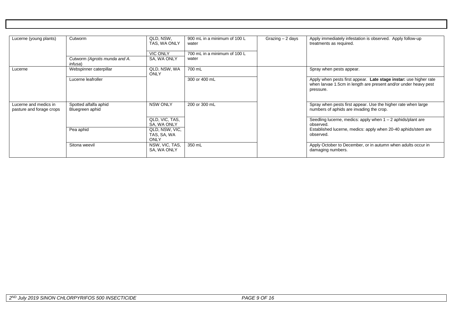| Lucerne (young plants)                            | Cutworm                                  | QLD, NSW,<br>TAS, WA ONLY<br><b>VIC ONLY</b> | 900 mL in a minimum of 100 L<br>water<br>700 mL in a minimum of 100 L | Grazing $-2$ days | Apply immediately infestation is observed. Apply follow-up<br>treatments as required.                                                             |
|---------------------------------------------------|------------------------------------------|----------------------------------------------|-----------------------------------------------------------------------|-------------------|---------------------------------------------------------------------------------------------------------------------------------------------------|
|                                                   | Cutworm (Agrotis munda and A.<br>infusa) | SA, WA ONLY                                  | water                                                                 |                   |                                                                                                                                                   |
| Lucerne                                           | Webspinner caterpillar                   | QLD, NSW, WA<br><b>ONLY</b>                  | 700 mL                                                                |                   | Spray when pests appear.                                                                                                                          |
|                                                   | Lucerne leafroller                       |                                              | 300 or 400 mL                                                         |                   | Apply when pests first appear. Late stage instar: use higher rate<br>when larvae 1.5cm in length are present and/or under heavy pest<br>pressure. |
| Lucerne and medics in<br>pasture and forage crops | Spotted alfalfa aphid<br>Bluegreen aphid | <b>NSW ONLY</b>                              | 200 or 300 mL                                                         |                   | Spray when pests first appear. Use the higher rate when large<br>numbers of aphids are invading the crop.                                         |
|                                                   |                                          | QLD, VIC, TAS,<br>SA, WA ONLY                |                                                                       |                   | Seedling lucerne, medics: apply when $1 - 2$ aphids/plant are<br>observed.                                                                        |
|                                                   | Pea aphid                                | QLD, NSW, VIC,<br>TAS, SA, WA<br>ONLY        |                                                                       |                   | Established lucerne, medics: apply when 20-40 aphids/stem are<br>observed.                                                                        |
|                                                   | Sitona weevil                            | NSW, VIC, TAS,<br>SA, WA ONLY                | 350 mL                                                                |                   | Apply October to December, or in autumn when adults occur in<br>damaging numbers.                                                                 |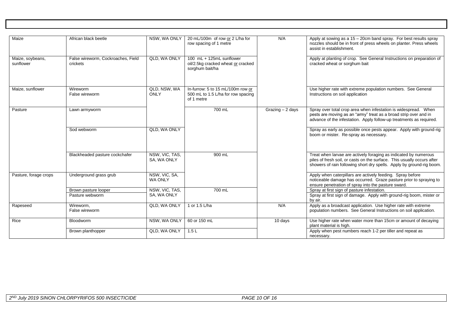| Maize                         | African black beetle                           | NSW, WA ONLY                    | 20 mL/100m of row or 2 L/ha for<br>row spacing of 1 metre                             | N/A                  | Apply at sowing as a 15 - 20cm band spray. For best results spray<br>nozzles should be in front of press wheels on planter. Press wheels<br>assist in establishment.                                                 |
|-------------------------------|------------------------------------------------|---------------------------------|---------------------------------------------------------------------------------------|----------------------|----------------------------------------------------------------------------------------------------------------------------------------------------------------------------------------------------------------------|
| Maize, soybeans,<br>sunflower | False wireworm, Cockroaches, Field<br>crickets | QLD, WA ONLY                    | 100 mL + 125mL sunflower<br>oil/2.5kg cracked wheat or cracked<br>sorghum bait/ha     |                      | Apply at planting of crop. See General Instructions on preparation of<br>cracked wheat or sorghum bait                                                                                                               |
| Maize, sunflower              | Wireworm<br>False wireworm                     | QLD, NSW, WA<br>ONLY            | In-furrow: 5 to 15 mL/100m row or<br>500 mL to 1.5 L/ha for row spacing<br>of 1 metre |                      | Use higher rate with extreme population numbers. See General<br>Instructions on soil application                                                                                                                     |
| Pasture                       | Lawn armyworm                                  |                                 | 700 mL                                                                                | Grazing $-2$ days    | Spray over total crop area when infestation is widespread. When<br>pests are moving as an "army" treat as a broad strip over and in<br>advance of the infestation. Apply follow-up treatments as required.           |
|                               | Sod webworm                                    | QLD, WA ONLY                    |                                                                                       |                      | Spray as early as possible once pests appear. Apply with ground-rig<br>boom or mister. Re-spray as necessary.                                                                                                        |
|                               | Blackheaded pasture cockchafer                 | NSW, VIC, TAS,<br>SA, WA ONLY   | 900 mL                                                                                |                      | Treat when larvae are actively foraging as indicated by numerous<br>piles of fresh soil, or casts on the surface. This usually occurs after<br>showers of rain following short dry spells. Apply by ground-rig boom. |
| Pasture, forage crops         | Underground grass grub                         | NSW, VIC, SA,<br><b>WA ONLY</b> |                                                                                       |                      | Apply when caterpillars are actively feeding. Spray before<br>noticeable damage has occurred. Graze pasture prior to spraying to<br>ensure penetration of spray into the pasture sward.                              |
|                               | Brown pasture looper                           | NSW, VIC, TAS,                  | 700 mL                                                                                |                      | Spray at first sign of pasture infestation.                                                                                                                                                                          |
|                               | Pasture webworm                                | SA, WA ONLY                     |                                                                                       |                      | Spray at first sign of damage. Apply with ground-rig boom, mister or<br>by air.                                                                                                                                      |
| Rapeseed                      | Wireworm,<br>False wireworm                    | QLD, WA ONLY                    | 1 or 1.5 L/ha                                                                         | N/A                  | Apply as a broadcast application. Use higher rate with extreme<br>population numbers. See General Instructions on soil application.                                                                                  |
| Rice                          | <b>Bloodworm</b>                               | NSW, WA ONLY                    | 60 or 150 mL                                                                          | $\overline{10}$ days | Use higher rate when water more than 15cm or amount of decaying<br>plant material is high.                                                                                                                           |
|                               | Brown planthopper                              | QLD, WA ONLY                    | 1.5L                                                                                  |                      | Apply when pest numbers reach 1-2 per tiller and repeat as<br>necessary.                                                                                                                                             |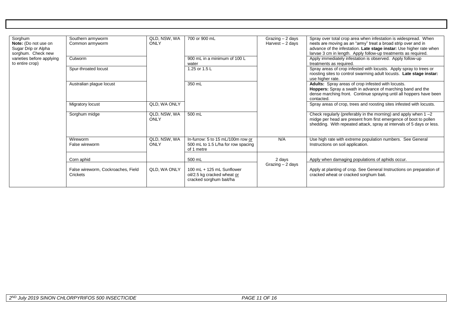| Sorghum<br>Note: (Do not use on<br>Sugar Drip or Alpha<br>sorghum. Check new | Southern armyworm<br>Common armyworm           | QLD, NSW, WA<br>ONLY | 700 or 900 mL                                                                         | Grazing - 2 days<br>Harvest - 2 days | Spray over total crop area when infestation is widespread. When<br>nests are moving as an "army" treat a broad strip over and in<br>advance of the infestation. Late stage instar: Use higher rate when<br>larvae 3 cm in length. Apply follow-up treatments as required. |
|------------------------------------------------------------------------------|------------------------------------------------|----------------------|---------------------------------------------------------------------------------------|--------------------------------------|---------------------------------------------------------------------------------------------------------------------------------------------------------------------------------------------------------------------------------------------------------------------------|
| varieties before applying<br>to entire crop)                                 | Cutworm                                        |                      | 900 mL in a minimum of 100 L<br>water                                                 |                                      | Apply immediately infestation is observed. Apply follow-up<br>treatments as required.                                                                                                                                                                                     |
|                                                                              | Spur-throated locust                           |                      | 1.25 or 1.5 L                                                                         |                                      | Spray areas of crop infested with locusts. Apply spray to trees or<br>roosting sites to control swarming adult locusts. Late stage instar:<br>use higher rate.                                                                                                            |
|                                                                              | Australian plague locust                       |                      | 350 mL                                                                                |                                      | Adults: Spray areas of crop infested with locusts.<br>Hoppers: Spray a swath in advance of marching band and the<br>dense marching front. Continue spraying until all hoppers have been<br>contacted.                                                                     |
|                                                                              | <b>Migratory locust</b>                        | QLD, WA ONLY         |                                                                                       |                                      | Spray areas of crop, trees and roosting sites infested with locusts.                                                                                                                                                                                                      |
|                                                                              | Sorghum midge                                  | QLD, NSW, WA<br>ONLY | 500 mL                                                                                |                                      | Check regularly (preferably in the morning) and apply when $1 - 2$<br>midge per head are present from first emergence of boot to pollen<br>shedding. With repeated attack, spray at intervals of 5 days or less.                                                          |
|                                                                              | Wireworm<br>False wireworm                     | QLD, NSW, WA<br>ONLY | In-furrow: 5 to 15 mL/100m row or<br>500 mL to 1.5 L/ha for row spacing<br>of 1 metre | N/A                                  | Use high rate with extreme population numbers. See General<br>Instructions on soil application.                                                                                                                                                                           |
|                                                                              | Corn aphid                                     |                      | 500 mL                                                                                | 2 days                               | Apply when damaging populations of aphids occur.                                                                                                                                                                                                                          |
|                                                                              | False wireworm, Cockroaches, Field<br>Crickets | QLD, WA ONLY         | 100 mL + 125 mL Sunflower<br>oil/2.5 kg cracked wheat or<br>cracked sorghum bait/ha   | Grazing - 2 days                     | Apply at planting of crop. See General Instructions on preparation of<br>cracked wheat or cracked sorghum bait.                                                                                                                                                           |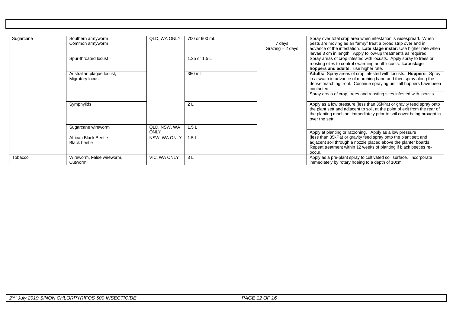| Sugarcane | Southern armyworm<br>Common armyworm          | QLD, WA ONLY         | 700 or 900 mL | 7 days<br>Grazing $-2$ days | Spray over total crop area when infestation is widespread. When<br>pests are moving as an "army" treat a broad strip over and in<br>advance of the infestation. Late stage instar: Use higher rate when<br>larvae 3 cm in length. Apply follow-up treatments as required.                         |
|-----------|-----------------------------------------------|----------------------|---------------|-----------------------------|---------------------------------------------------------------------------------------------------------------------------------------------------------------------------------------------------------------------------------------------------------------------------------------------------|
|           | Spur-throated locust                          |                      | 1.25 or 1.5 L |                             | Spray areas of crop infested with locusts. Apply spray to trees or<br>roosting sites to control swarming adult locusts. Late stage<br>hoppers and adults: use higher rate.                                                                                                                        |
|           | Australian plague locust,<br>Migratory locust |                      | 350 mL        |                             | Adults: Spray areas of crop infested with locusts. Hoppers: Spray<br>in a swath in advance of marching band and then spray along the<br>dense marching front. Continue spraying until all hoppers have been<br>contacted.<br>Spray areas of crop, trees and roosting sites infested with locusts. |
|           | Symphylids                                    |                      | 2L            |                             | Apply as a low pressure (less than 35kPa) or gravity feed spray onto<br>the plant sett and adjacent to soil, at the point of exit from the rear of<br>the planting machine, immediately prior to soil cover being brought in<br>over the sett.                                                    |
|           | Sugarcane wireworm                            | QLD, NSW, WA<br>ONLY | 1.5L          |                             | Apply at planting or ratooning. Apply as a low pressure                                                                                                                                                                                                                                           |
|           | African Black Beetle<br><b>Black beetle</b>   | NSW, WA ONLY         | 1.5L          |                             | (less than 35kPa) or gravity feed spray onto the plant sett and<br>adjacent soil through a nozzle placed above the planter boards.<br>Repeat treatment within 12 weeks of planting if black beetles re-<br>occur.                                                                                 |
| Tobacco   | Wireworm, False wireworm,<br>Cutworm          | VIC, WA ONLY         | 3L            |                             | Apply as a pre-plant spray to cultivated soil surface. Incorporate<br>immediately by rotary hoeing to a depth of 10cm                                                                                                                                                                             |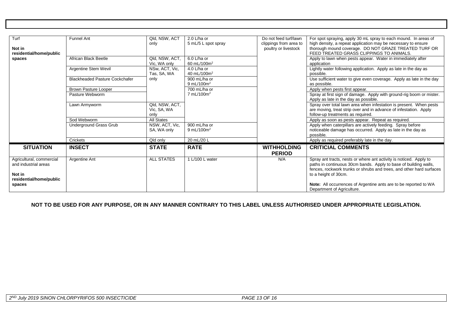| Turf<br>Not in<br>residential/home/public                                             | <b>Funnel Ant</b>                     | Qld, NSW, ACT<br>only                 | $2.0$ L/ha or<br>5 mL/5 L spot spray   | Do not feed turf/lawn<br>clippings from area to<br>poultry or livestock | For spot spraying, apply 30 mL spray to each mound. In areas of<br>high density, a repeat application may be necessary to ensure<br>thorough mound coverage. DO NOT GRAZE TREATED TURF OR<br>FEED TREATED GRASS CLIPPINGS TO ANIMALS.  |
|---------------------------------------------------------------------------------------|---------------------------------------|---------------------------------------|----------------------------------------|-------------------------------------------------------------------------|----------------------------------------------------------------------------------------------------------------------------------------------------------------------------------------------------------------------------------------|
| spaces                                                                                | African Black Beetle                  | Qld. NSW. ACT.<br>Vic. WA only        | 6.0 L/ha or<br>60 mL/100m <sup>2</sup> |                                                                         | Apply to lawn when pests appear. Water in immediately after<br>application                                                                                                                                                             |
|                                                                                       | Argentine Stem Wevil                  | NSw. ACT. Vic.<br>Tas, SA, WA         | 4.0 L/ha or<br>40 mL/100m <sup>2</sup> |                                                                         | Lightly water following application. Apply as late in the day as<br>possible.                                                                                                                                                          |
|                                                                                       | <b>Blackheaded Pasture Cockchafer</b> | only                                  | 900 mL/ha or<br>9 mL/100 $m2$          |                                                                         | Use sufficient water to give even coverage. Apply as late in the day<br>as possible.                                                                                                                                                   |
|                                                                                       | <b>Brown Pasture Looper</b>           |                                       | 700 mL/ha or                           |                                                                         | Apply when pests first appear.                                                                                                                                                                                                         |
|                                                                                       | Pasture Webworm                       |                                       | $7 \text{ mL} / 100 \text{ m}^2$       |                                                                         | Spray at first sign of damage. Apply with ground-rig boom or mister.<br>Apply as late in the day as possible.                                                                                                                          |
|                                                                                       | Lawn Armyworm                         | Qld, NSW, ACT,<br>Vic, SA, WA<br>only |                                        |                                                                         | Spray over total lawn area when infestation is present. When pests<br>are moving, treat strip over and in advance of infestation. Apply<br>follow-up treatments as required.                                                           |
|                                                                                       | Sod Webworm                           | All States                            |                                        |                                                                         | Apply as soon as pests appear. Repeat as required.                                                                                                                                                                                     |
|                                                                                       | Underground Grass Grub                | NSW, ACT, Vic,<br>SA, WA only         | 900 mL/ha or<br>9 mL/100 $m2$          |                                                                         | Apply when caterpillars are actively feeding. Spray before<br>noticeable damage has occurred. Apply as late in the day as<br>possible.                                                                                                 |
|                                                                                       | Crickets                              | Qld only                              | 20 mL/20 L                             |                                                                         | Apply as required preferably late in the day.                                                                                                                                                                                          |
| <b>SITUATION</b>                                                                      | <b>INSECT</b>                         | <b>STATE</b>                          | <b>RATE</b>                            | <b>WITHHOLDING</b><br><b>PERIOD</b>                                     | <b>CRITICIAL COMMENTS</b>                                                                                                                                                                                                              |
| Agricultural, commercial<br>and industrial areas<br>Not in<br>residential/home/public | Argentine Ant                         | <b>ALL STATES</b>                     | 1 L/100 L water                        | N/A                                                                     | Spray ant tracts, nests or where ant activity is noticed. Apply to<br>paths in continuous 30cm bands. Apply to base of building walls,<br>fences, rockwork trunks or shrubs and trees, and other hard surfaces<br>to a height of 30cm. |
| spaces                                                                                |                                       |                                       |                                        |                                                                         | Note: All occurrences of Argentine ants are to be reported to WA<br>Department of Agriculture.                                                                                                                                         |

**NOT TO BE USED FOR ANY PURPOSE, OR IN ANY MANNER CONTRARY TO THIS LABEL UNLESS AUTHORISED UNDER APPROPRIATE LEGISLATION.**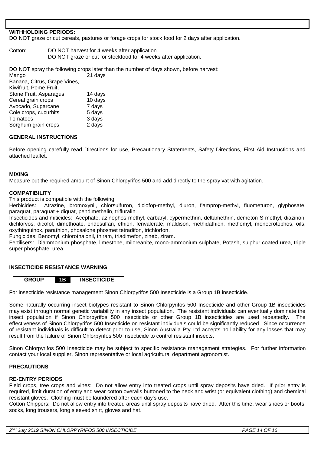#### **WITHHOLDING PERIODS:**

DO NOT graze or cut cereals, pastures or forage crops for stock food for 2 days after application.

Cotton: DO NOT harvest for 4 weeks after application. DO NOT graze or cut for stockfood for 4 weeks after application.

DO NOT spray the following crops later than the number of days shown, before harvest:

Mango 21 days Banana, Citrus, Grape Vines, Kiwifruit, Pome Fruit, Stone Fruit, Asparagus 14 days Cereal grain crops 10 days Avocado, Sugarcane 7 days Cole crops, cucurbits 5 days Tomatoes 3 days Sorghum grain crops 2 days

#### **GENERAL INSTRUCTIONS**

Before opening carefully read Directions for use, Precautionary Statements, Safety Directions, First Aid Instructions and attached leaflet.

#### **MIXING**

Measure out the required amount of Sinon Chlorpyrifos 500 and add directly to the spray vat with agitation.

#### **COMPATIBILITY**

This product is compatible with the following:

Herbicides: Atrazine, bromoxynil, chlorsulfuron, diclofop-methyl, diuron, flamprop-methyl, fluometuron, glyphosate, paraquat, paraquat + diquat, pendimethalin, trifluralin.

Insecticides and miticides: Acephate, azinophos-methyl, carbaryl, cypermethrin, deltamethrin, demeton-S-methyl, diazinon, dichlorvos, dicofol, dimethoate, endosulfan, ethion, fenvalerate, maldison, methidathion, methomyl, monocrotophos, oils, oxythinquinox, parathion, phosalone phosmet tetradifon, trichlorfon.

Fungicides: Benomyl, chlorothalonil, thiram, triadimefon, zineb, ziram.

Fertilisers: Diammonium phosphate, limestone, miloreanite, mono-ammonium sulphate, Potash, sulphur coated urea, triple super phosphate, urea.

#### **INSECTICIDE RESISTANCE WARNING**



For insecticide resistance management Sinon Chlorpyrifos 500 Insecticide is a Group 1B insecticide.

Some naturally occurring insect biotypes resistant to Sinon Chlorpyrifos 500 Insecticide and other Group 1B insecticides may exist through normal genetic variability in any insect population. The resistant individuals can eventually dominate the insect population if Sinon Chlorpyrifos 500 Insecticide or other Group 1B insecticides are used repeatedly. The effectiveness of Sinon Chlorpyrifos 500 Insecticide on resistant individuals could be significantly reduced. Since occurrence of resistant individuals is difficult to detect prior to use, Sinon Australia Pty Ltd accepts no liability for any losses that may result from the failure of Sinon Chlorpyrifos 500 Insecticide to control resistant insects.

Sinon Chlorpyrifos 500 Insecticide may be subject to specific resistance management strategies. For further information contact your local supplier, Sinon representative or local agricultural department agronomist.

#### **PRECAUTIONS**

#### **RE-ENTRY PERIODS**

Field crops, tree crops and vines: Do not allow entry into treated crops until spray deposits have dried. If prior entry is required, limit duration of entry and wear cotton overalls buttoned to the neck and wrist (or equivalent clothing) and chemical resistant gloves. Clothing must be laundered after each day's use.

Cotton Chippers: Do not allow entry into treated areas until spray deposits have dried. After this time, wear shoes or boots, socks, long trousers, long sleeved shirt, gloves and hat.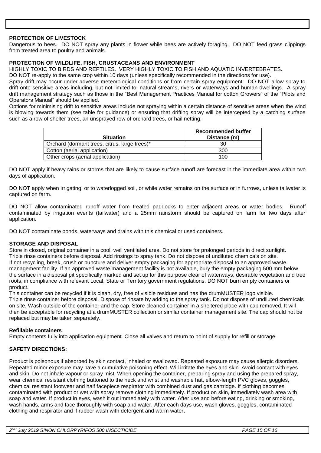#### **PROTECTION OF LIVESTOCK**

Dangerous to bees. DO NOT spray any plants in flower while bees are actively foraging. DO NOT feed grass clippings from treated area to poultry and animals.

#### **PROTECTION OF WILDLIFE, FISH, CRUSTACEANS AND ENVIRONMENT**

HIGHLY TOXIC TO BIRDS AND REPTILES. VERY HIGHLY TOXIC TO FISH AND AQUATIC INVERTEBRATES.

DO NOT re-apply to the same crop within 10 days (unless specifically recommended in the directions for use).

Spray drift may occur under adverse meteorological conditions or from certain spray equipment. DO NOT allow spray to drift onto sensitive areas including, but not limited to, natural streams, rivers or waterways and human dwellings. A spray drift management strategy such as those in the "Best Management Practices Manual for cotton Growers" of the "Pilots and Operators Manual" should be applied.

Options for minimising drift to sensitive areas include not spraying within a certain distance of sensitive areas when the wind is blowing towards them (see table for guidance) or ensuring that drifting spray will be intercepted by a catching surface such as a row of shelter trees, an unsprayed row of orchard trees, or hail netting.

| <b>Situation</b>                              | Recommended buffer<br>Distance (m) |
|-----------------------------------------------|------------------------------------|
| Orchard (dormant trees, citrus, large trees)* |                                    |
| Cotton (aerial application)                   | 300                                |
| Other crops (aerial application)              | 100                                |

DO NOT apply if heavy rains or storms that are likely to cause surface runoff are forecast in the immediate area within two days of application.

DO NOT apply when irrigating, or to waterlogged soil, or while water remains on the surface or in furrows, unless tailwater is captured on farm.

DO NOT allow contaminated runoff water from treated paddocks to enter adjacent areas or water bodies. Runoff contaminated by irrigation events (tailwater) and a 25mm rainstorm should be captured on farm for two days after application.

DO NOT contaminate ponds, waterways and drains with this chemical or used containers.

#### **STORAGE AND DISPOSAL**

Store in closed, original container in a cool, well ventilated area. Do not store for prolonged periods in direct sunlight. Triple rinse containers before disposal. Add rinsings to spray tank. Do not dispose of undiluted chemicals on site. If not recycling, break, crush or puncture and deliver empty packaging for appropriate disposal to an approved waste management facility. If an approved waste management facility is not available, bury the empty packaging 500 mm below the surface in a disposal pit specifically marked and set up for this purpose clear of waterways, desirable vegetation and tree roots, in compliance with relevant Local, State or Territory government regulations. DO NOT burn empty containers or product.

This container can be recycled if it is clean, dry, free of visible residues and has the drumMUSTER logo visible. Triple rinse container before disposal. Dispose of rinsate by adding to the spray tank. Do not dispose of undiluted chemicals on site. Wash outside of the container and the cap. Store cleaned container in a sheltered place with cap removed. It will then be acceptable for recycling at a drumMUSTER collection or similar container management site. The cap should not be replaced but may be taken separately.

#### **Refillable containers**

Empty contents fully into application equipment. Close all valves and return to point of supply for refill or storage.

#### **SAFETY DIRECTIONS:**

Product is poisonous if absorbed by skin contact, inhaled or swallowed. Repeated exposure may cause allergic disorders. Repeated minor exposure may have a cumulative poisoning effect. Will irritate the eyes and skin. Avoid contact with eyes and skin. Do not inhale vapour or spray mist. When opening the container, preparing spray and using the prepared spray, wear chemical resistant clothing buttoned to the neck and wrist and washable hat, elbow-length PVC gloves, goggles, chemical resistant footwear and half facepiece respirator with combined dust and gas cartridge. If clothing becomes contaminated with product or wet with spray remove clothing immediately. If product on skin, immediately wash area with soap and water. If product in eyes, wash it out immediately with water. After use and before eating, drinking or smoking, wash hands, arms and face thoroughly with soap and water. After each days use, wash gloves, goggles, contaminated clothing and respirator and if rubber wash with detergent and warm water**.**